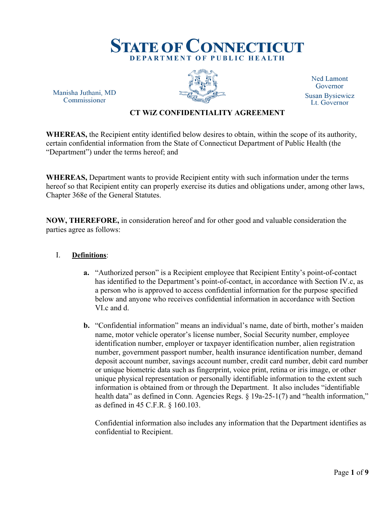

Manisha Juthani, MD Commissioner



**Ned Lamont** Governor **Susan Bysiewicz** Lt. Governor

#### **CT WiZ CONFIDENTIALITY AGREEMENT**

**WHEREAS,** the Recipient entity identified below desires to obtain, within the scope of its authority, certain confidential information from the State of Connecticut Department of Public Health (the "Department") under the terms hereof; and

**WHEREAS,** Department wants to provide Recipient entity with such information under the terms hereof so that Recipient entity can properly exercise its duties and obligations under, among other laws, Chapter 368e of the General Statutes.

**NOW, THEREFORE,** in consideration hereof and for other good and valuable consideration the parties agree as follows:

#### I. **Definitions**:

- **a.** "Authorized person" is a Recipient employee that Recipient Entity's point-of-contact has identified to the Department's point-of-contact, in accordance with Section IV.c, as a person who is approved to access confidential information for the purpose specified below and anyone who receives confidential information in accordance with Section VI.c and d.
- **b.** "Confidential information" means an individual's name, date of birth, mother's maiden name, motor vehicle operator's license number, Social Security number, employee identification number, employer or taxpayer identification number, alien registration number, government passport number, health insurance identification number, demand deposit account number, savings account number, credit card number, debit card number or unique biometric data such as fingerprint, voice print, retina or iris image, or other unique physical representation or personally identifiable information to the extent such information is obtained from or through the Department. It also includes "identifiable health data" as defined in Conn. Agencies Regs. § 19a-25-1(7) and "health information," as defined in 45 C.F.R. § 160.103.

Confidential information also includes any information that the Department identifies as confidential to Recipient.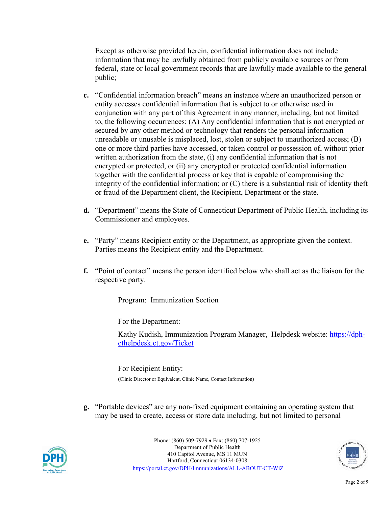Except as otherwise provided herein, confidential information does not include information that may be lawfully obtained from publicly available sources or from federal, state or local government records that are lawfully made available to the general public;

- **c.** "Confidential information breach" means an instance where an unauthorized person or entity accesses confidential information that is subject to or otherwise used in conjunction with any part of this Agreement in any manner, including, but not limited to, the following occurrences: (A) Any confidential information that is not encrypted or secured by any other method or technology that renders the personal information unreadable or unusable is misplaced, lost, stolen or subject to unauthorized access; (B) one or more third parties have accessed, or taken control or possession of, without prior written authorization from the state, (i) any confidential information that is not encrypted or protected, or (ii) any encrypted or protected confidential information together with the confidential process or key that is capable of compromising the integrity of the confidential information; or (C) there is a substantial risk of identity theft or fraud of the Department client, the Recipient, Department or the state.
- **d.** "Department" means the State of Connecticut Department of Public Health, including its Commissioner and employees.
- **e.** "Party" means Recipient entity or the Department, as appropriate given the context. Parties means the Recipient entity and the Department.
- **f.** "Point of contact" means the person identified below who shall act as the liaison for the respective party.

Program: Immunization Section

For the Department:

Kathy Kudish, Immunization Program Manager, Helpdesk website: [https://dph](https://dph-cthelpdesk.ct.gov/Ticket)[cthelpdesk.ct.gov/Ticket](https://dph-cthelpdesk.ct.gov/Ticket)

For Recipient Entity:

(Clinic Director or Equivalent, Clinic Name, Contact Information)

**g.** "Portable devices" are any non-fixed equipment containing an operating system that may be used to create, access or store data including, but not limited to personal



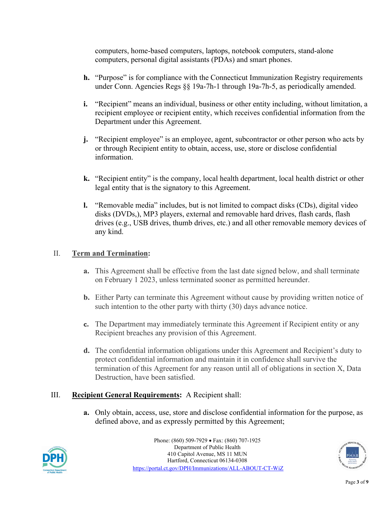computers, home-based computers, laptops, notebook computers, stand-alone computers, personal digital assistants (PDAs) and smart phones.

- **h.** "Purpose" is for compliance with the Connecticut Immunization Registry requirements under Conn. Agencies Regs §§ 19a-7h-1 through 19a-7h-5, as periodically amended.
- **i.** "Recipient" means an individual, business or other entity including, without limitation, a recipient employee or recipient entity, which receives confidential information from the Department under this Agreement.
- **j.** "Recipient employee" is an employee, agent, subcontractor or other person who acts by or through Recipient entity to obtain, access, use, store or disclose confidential information.
- **k.** "Recipient entity" is the company, local health department, local health district or other legal entity that is the signatory to this Agreement.
- **l.** "Removable media" includes, but is not limited to compact disks (CDs), digital video disks (DVDs,), MP3 players, external and removable hard drives, flash cards, flash drives (e.g., USB drives, thumb drives, etc.) and all other removable memory devices of any kind.

### II. **Term and Termination:**

- **a.** This Agreement shall be effective from the last date signed below, and shall terminate on February 1 2023, unless terminated sooner as permitted hereunder.
- **b.** Either Party can terminate this Agreement without cause by providing written notice of such intention to the other party with thirty (30) days advance notice.
- **c.** The Department may immediately terminate this Agreement if Recipient entity or any Recipient breaches any provision of this Agreement.
- **d.** The confidential information obligations under this Agreement and Recipient's duty to protect confidential information and maintain it in confidence shall survive the termination of this Agreement for any reason until all of obligations in section X, Data Destruction, have been satisfied.

#### III. **Recipient General Requirements:** A Recipient shall:

**a.** Only obtain, access, use, store and disclose confidential information for the purpose, as defined above, and as expressly permitted by this Agreement;



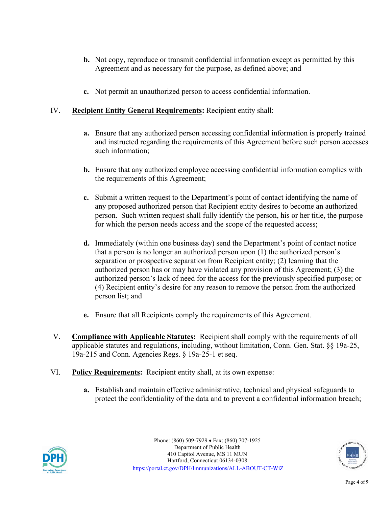- **b.** Not copy, reproduce or transmit confidential information except as permitted by this Agreement and as necessary for the purpose, as defined above; and
- **c.** Not permit an unauthorized person to access confidential information.

### IV. **Recipient Entity General Requirements:** Recipient entity shall:

- **a.** Ensure that any authorized person accessing confidential information is properly trained and instructed regarding the requirements of this Agreement before such person accesses such information;
- **b.** Ensure that any authorized employee accessing confidential information complies with the requirements of this Agreement;
- **c.** Submit a written request to the Department's point of contact identifying the name of any proposed authorized person that Recipient entity desires to become an authorized person. Such written request shall fully identify the person, his or her title, the purpose for which the person needs access and the scope of the requested access;
- **d.** Immediately (within one business day) send the Department's point of contact notice that a person is no longer an authorized person upon (1) the authorized person's separation or prospective separation from Recipient entity; (2) learning that the authorized person has or may have violated any provision of this Agreement; (3) the authorized person's lack of need for the access for the previously specified purpose; or (4) Recipient entity's desire for any reason to remove the person from the authorized person list; and
- **e.** Ensure that all Recipients comply the requirements of this Agreement.
- V. **Compliance with Applicable Statutes:** Recipient shall comply with the requirements of all applicable statutes and regulations, including, without limitation, Conn. Gen. Stat. §§ 19a-25, 19a-215 and Conn. Agencies Regs. § 19a-25-1 et seq.
- VI. **Policy Requirements:** Recipient entity shall, at its own expense:
	- **a.** Establish and maintain effective administrative, technical and physical safeguards to protect the confidentiality of the data and to prevent a confidential information breach;



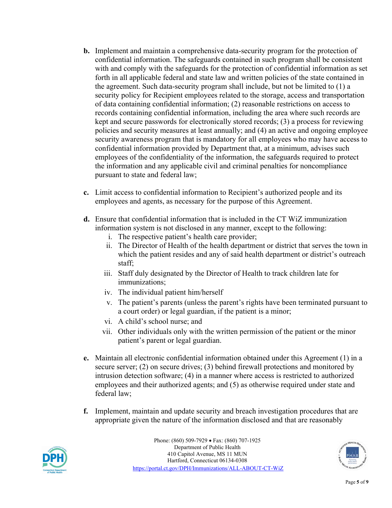- **b.** Implement and maintain a comprehensive data-security program for the protection of confidential information. The safeguards contained in such program shall be consistent with and comply with the safeguards for the protection of confidential information as set forth in all applicable federal and state law and written policies of the state contained in the agreement. Such data-security program shall include, but not be limited to (1) a security policy for Recipient employees related to the storage, access and transportation of data containing confidential information; (2) reasonable restrictions on access to records containing confidential information, including the area where such records are kept and secure passwords for electronically stored records; (3) a process for reviewing policies and security measures at least annually; and (4) an active and ongoing employee security awareness program that is mandatory for all employees who may have access to confidential information provided by Department that, at a minimum, advises such employees of the confidentiality of the information, the safeguards required to protect the information and any applicable civil and criminal penalties for noncompliance pursuant to state and federal law;
- **c.** Limit access to confidential information to Recipient's authorized people and its employees and agents, as necessary for the purpose of this Agreement.
- **d.** Ensure that confidential information that is included in the CT WiZ immunization information system is not disclosed in any manner, except to the following:
	- i. The respective patient's health care provider;
	- ii. The Director of Health of the health department or district that serves the town in which the patient resides and any of said health department or district's outreach staff;
	- iii. Staff duly designated by the Director of Health to track children late for immunizations;
	- iv. The individual patient him/herself
	- v. The patient's parents (unless the parent's rights have been terminated pursuant to a court order) or legal guardian, if the patient is a minor;
	- vi. A child's school nurse; and
	- vii. Other individuals only with the written permission of the patient or the minor patient's parent or legal guardian.
- **e.** Maintain all electronic confidential information obtained under this Agreement (1) in a secure server; (2) on secure drives; (3) behind firewall protections and monitored by intrusion detection software; (4) in a manner where access is restricted to authorized employees and their authorized agents; and (5) as otherwise required under state and federal law;
- **f.** Implement, maintain and update security and breach investigation procedures that are appropriate given the nature of the information disclosed and that are reasonably



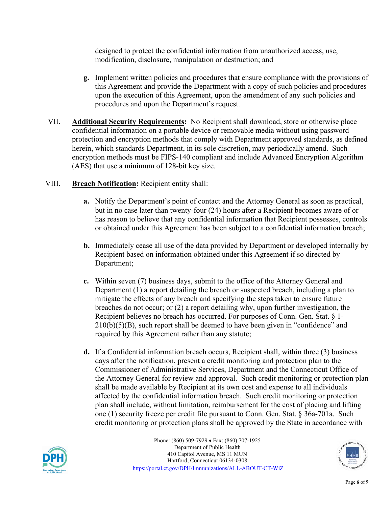designed to protect the confidential information from unauthorized access, use, modification, disclosure, manipulation or destruction; and

- **g.** Implement written policies and procedures that ensure compliance with the provisions of this Agreement and provide the Department with a copy of such policies and procedures upon the execution of this Agreement, upon the amendment of any such policies and procedures and upon the Department's request.
- VII. **Additional Security Requirements:** No Recipient shall download, store or otherwise place confidential information on a portable device or removable media without using password protection and encryption methods that comply with Department approved standards, as defined herein, which standards Department, in its sole discretion, may periodically amend. Such encryption methods must be FIPS-140 compliant and include Advanced Encryption Algorithm (AES) that use a minimum of 128-bit key size.
- VIII. **Breach Notification:** Recipient entity shall:
	- **a.** Notify the Department's point of contact and the Attorney General as soon as practical, but in no case later than twenty-four (24) hours after a Recipient becomes aware of or has reason to believe that any confidential information that Recipient possesses, controls or obtained under this Agreement has been subject to a confidential information breach;
	- **b.** Immediately cease all use of the data provided by Department or developed internally by Recipient based on information obtained under this Agreement if so directed by Department;
	- **c.** Within seven (7) business days, submit to the office of the Attorney General and Department (1) a report detailing the breach or suspected breach, including a plan to mitigate the effects of any breach and specifying the steps taken to ensure future breaches do not occur; or (2) a report detailing why, upon further investigation, the Recipient believes no breach has occurred. For purposes of Conn. Gen. Stat. § 1- $210(b)(5)(B)$ , such report shall be deemed to have been given in "confidence" and required by this Agreement rather than any statute;
	- **d.** If a Confidential information breach occurs, Recipient shall, within three (3) business days after the notification, present a credit monitoring and protection plan to the Commissioner of Administrative Services, Department and the Connecticut Office of the Attorney General for review and approval. Such credit monitoring or protection plan shall be made available by Recipient at its own cost and expense to all individuals affected by the confidential information breach. Such credit monitoring or protection plan shall include, without limitation, reimbursement for the cost of placing and lifting one (1) security freeze per credit file pursuant to Conn. Gen. Stat. § 36a-701a. Such credit monitoring or protection plans shall be approved by the State in accordance with



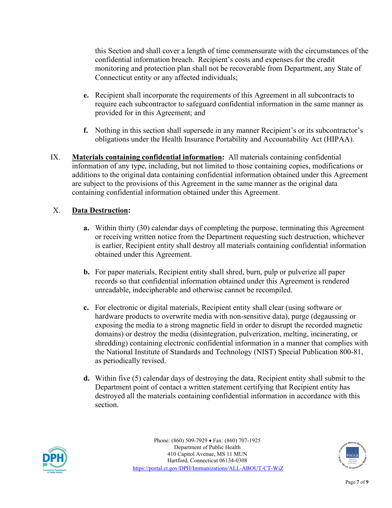this Section and shall cover a length of time commensurate with the circumstances of the confidential information breach. Recipient's costs and expenses for the credit monitoring and protection plan shall not be recoverable from Department, any State of Connecticut entity or any affected individuals;

- **e.** Recipient shall incorporate the requirements of this Agreement in all subcontracts to require each subcontractor to safeguard confidential information in the same manner as provided for in this Agreement; and
- **f.** Nothing in this section shall supersede in any manner Recipient's or its subcontractor's obligations under the Health Insurance Portability and Accountability Act (HIPAA).
- IX. **Materials containing confidential information:** All materials containing confidential information of any type, including, but not limited to those containing copies, modifications or additions to the original data containing confidential information obtained under this Agreement are subject to the provisions of this Agreement in the same manner as the original data containing confidential information obtained under this Agreement.

# X. **Data Destruction:**

- **a.** Within thirty (30) calendar days of completing the purpose, terminating this Agreement or receiving written notice from the Department requesting such destruction, whichever is earlier, Recipient entity shall destroy all materials containing confidential information obtained under this Agreement.
- **b.** For paper materials, Recipient entity shall shred, burn, pulp or pulverize all paper records so that confidential information obtained under this Agreement is rendered unreadable, indecipherable and otherwise cannot be recompiled.
- **c.** For electronic or digital materials, Recipient entity shall clear (using software or hardware products to overwrite media with non-sensitive data), purge (degaussing or exposing the media to a strong magnetic field in order to disrupt the recorded magnetic domains) or destroy the media (disintegration, pulverization, melting, incinerating, or shredding) containing electronic confidential information in a manner that complies with the National Institute of Standards and Technology (NIST) Special Publication 800-81, as periodically revised.
- **d.** Within five (5) calendar days of destroying the data, Recipient entity shall submit to the Department point of contact a written statement certifying that Recipient entity has destroyed all the materials containing confidential information in accordance with this section.



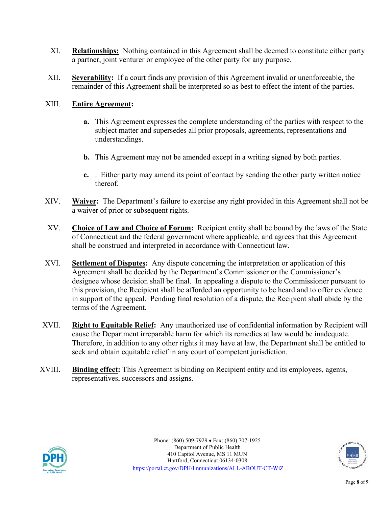- XI. **[Relationships:](http://www.ndasforfree.com/NDAS/Boilerplate.html#Relationships)** Nothing contained in this Agreement shall be deemed to constitute either party a partner, joint venturer or employee of the other party for any purpose.
- XII. **[Severability:](http://www.ndasforfree.com/NDAS/Boilerplate.html#Severability)** If a court finds any provision of this Agreement invalid or unenforceable, the remainder of this Agreement shall be interpreted so as best to effect the intent of the parties.

# XIII. **[Entire](http://www.ndasforfree.com/NDAS/Boilerplate.html#Integration) Agreement:**

- **a.** This Agreement expresses the complete understanding of the parties with respect to the subject matter and supersedes all prior proposals, agreements, representations and understandings.
- **b.** This Agreement may not be amended except in a writing signed by both parties.
- **c.** . Either party may amend its point of contact by sending the other party written notice thereof.
- XIV. **[Waiver:](http://www.ndasforfree.com/NDAS/Boilerplate.html#Waiver)** The Department's failure to exercise any right provided in this Agreement shall not be a waiver of prior or subsequent rights.
- XV. **Choice of Law and Choice of Forum:** Recipient entity shall be bound by the laws of the State of Connecticut and the federal government where applicable, and agrees that this Agreement shall be construed and interpreted in accordance with Connecticut law.
- XVI. **Settlement of Disputes:** Any dispute concerning the interpretation or application of this Agreement shall be decided by the Department's Commissioner or the Commissioner's designee whose decision shall be final. In appealing a dispute to the Commissioner pursuant to this provision, the Recipient shall be afforded an opportunity to be heard and to offer evidence in support of the appeal. Pending final resolution of a dispute, the Recipient shall abide by the terms of the Agreement.
- XVII. **Right to Equitable Relief:** Any unauthorized use of confidential information by Recipient will cause the Department irreparable harm for which its remedies at law would be inadequate. Therefore, in addition to any other rights it may have at law, the Department shall be entitled to seek and obtain equitable relief in any court of competent jurisdiction.
- XVIII. **Binding effect:** This Agreement is binding on Recipient entity and its employees, agents, representatives, successors and assigns.